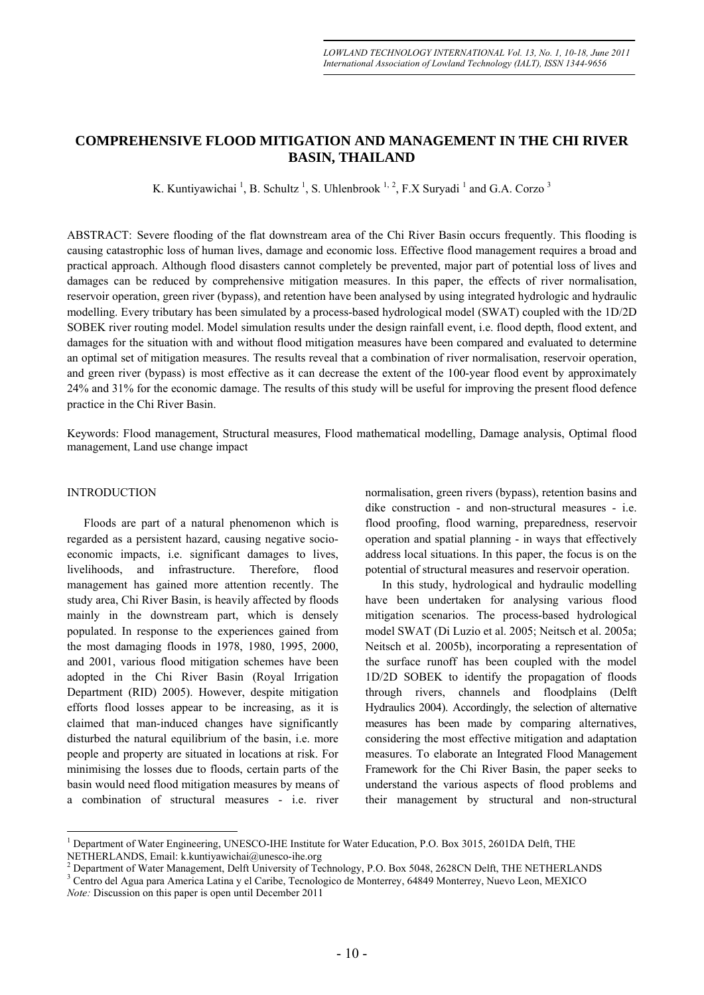# **COMPREHENSIVE FLOOD MITIGATION AND MANAGEMENT IN THE CHI RIVER BASIN, THAILAND**

K. Kuntiyawichai<sup>1</sup>, B. Schultz<sup>1</sup>, S. Uhlenbrook<sup>1, 2</sup>, F.X Suryadi<sup>1</sup> and G.A. Corzo<sup>3</sup>

ABSTRACT: Severe flooding of the flat downstream area of the Chi River Basin occurs frequently. This flooding is causing catastrophic loss of human lives, damage and economic loss. Effective flood management requires a broad and practical approach. Although flood disasters cannot completely be prevented, major part of potential loss of lives and damages can be reduced by comprehensive mitigation measures. In this paper, the effects of river normalisation, reservoir operation, green river (bypass), and retention have been analysed by using integrated hydrologic and hydraulic modelling. Every tributary has been simulated by a process-based hydrological model (SWAT) coupled with the 1D/2D SOBEK river routing model. Model simulation results under the design rainfall event, i.e. flood depth, flood extent, and damages for the situation with and without flood mitigation measures have been compared and evaluated to determine an optimal set of mitigation measures. The results reveal that a combination of river normalisation, reservoir operation, and green river (bypass) is most effective as it can decrease the extent of the 100-year flood event by approximately 24% and 31% for the economic damage. The results of this study will be useful for improving the present flood defence practice in the Chi River Basin.

Keywords: Flood management, Structural measures, Flood mathematical modelling, Damage analysis, Optimal flood management, Land use change impact

# INTRODUCTION

 $\overline{a}$ 

Floods are part of a natural phenomenon which is regarded as a persistent hazard, causing negative socioeconomic impacts, i.e. significant damages to lives, livelihoods, and infrastructure. Therefore, flood management has gained more attention recently. The study area, Chi River Basin, is heavily affected by floods mainly in the downstream part, which is densely populated. In response to the experiences gained from the most damaging floods in 1978, 1980, 1995, 2000, and 2001, various flood mitigation schemes have been adopted in the Chi River Basin (Royal Irrigation Department (RID) 2005). However, despite mitigation efforts flood losses appear to be increasing, as it is claimed that man-induced changes have significantly disturbed the natural equilibrium of the basin, i.e. more people and property are situated in locations at risk. For minimising the losses due to floods, certain parts of the basin would need flood mitigation measures by means of a combination of structural measures - i.e. river

normalisation, green rivers (bypass), retention basins and dike construction - and non-structural measures - i.e. flood proofing, flood warning, preparedness, reservoir operation and spatial planning - in ways that effectively address local situations. In this paper, the focus is on the potential of structural measures and reservoir operation.

In this study, hydrological and hydraulic modelling have been undertaken for analysing various flood mitigation scenarios. The process-based hydrological model SWAT (Di Luzio et al. 2005; Neitsch et al. 2005a; Neitsch et al. 2005b), incorporating a representation of the surface runoff has been coupled with the model 1D/2D SOBEK to identify the propagation of floods through rivers, channels and floodplains (Delft Hydraulics 2004). Accordingly, the selection of alternative measures has been made by comparing alternatives, considering the most effective mitigation and adaptation measures. To elaborate an Integrated Flood Management Framework for the Chi River Basin, the paper seeks to understand the various aspects of flood problems and their management by structural and non-structural

<sup>1</sup> Department of Water Engineering, UNESCO-IHE Institute for Water Education, P.O. Box 3015, 2601DA Delft, THE NETHERLANDS, Email: k.kuntiyawichai@unesco-ihe.org 2

<sup>&</sup>lt;sup>2</sup> Department of Water Management, Delft University of Technology, P.O. Box 5048, 2628CN Delft, THE NETHERLANDS

Centro del Agua para America Latina y el Caribe, Tecnologico de Monterrey, 64849 Monterrey, Nuevo Leon, MEXICO *Note:* Discussion on this paper is open until December 2011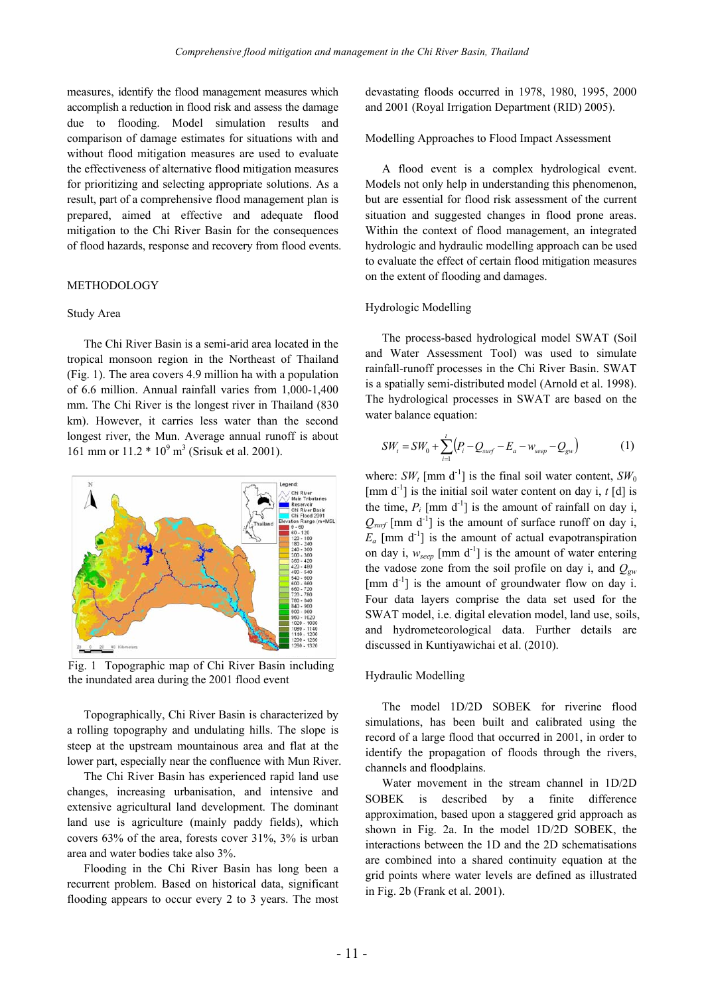measures, identify the flood management measures which accomplish a reduction in flood risk and assess the damage due to flooding. Model simulation results and comparison of damage estimates for situations with and without flood mitigation measures are used to evaluate the effectiveness of alternative flood mitigation measures for prioritizing and selecting appropriate solutions. As a result, part of a comprehensive flood management plan is prepared, aimed at effective and adequate flood mitigation to the Chi River Basin for the consequences of flood hazards, response and recovery from flood events.

# METHODOLOGY

#### Study Area

The Chi River Basin is a semi-arid area located in the tropical monsoon region in the Northeast of Thailand (Fig. 1). The area covers 4.9 million ha with a population of 6.6 million. Annual rainfall varies from 1,000-1,400 mm. The Chi River is the longest river in Thailand (830 km). However, it carries less water than the second longest river, the Mun. Average annual runoff is about 161 mm or  $11.2 * 10<sup>9</sup>$  m<sup>3</sup> (Srisuk et al. 2001).



Fig. 1 Topographic map of Chi River Basin including the inundated area during the 2001 flood event

Topographically, Chi River Basin is characterized by a rolling topography and undulating hills. The slope is steep at the upstream mountainous area and flat at the lower part, especially near the confluence with Mun River.

The Chi River Basin has experienced rapid land use changes, increasing urbanisation, and intensive and extensive agricultural land development. The dominant land use is agriculture (mainly paddy fields), which covers 63% of the area, forests cover 31%, 3% is urban area and water bodies take also 3%.

Flooding in the Chi River Basin has long been a recurrent problem. Based on historical data, significant flooding appears to occur every 2 to 3 years. The most devastating floods occurred in 1978, 1980, 1995, 2000 and 2001 (Royal Irrigation Department (RID) 2005).

Modelling Approaches to Flood Impact Assessment

A flood event is a complex hydrological event. Models not only help in understanding this phenomenon, but are essential for flood risk assessment of the current situation and suggested changes in flood prone areas. Within the context of flood management, an integrated hydrologic and hydraulic modelling approach can be used to evaluate the effect of certain flood mitigation measures on the extent of flooding and damages.

### Hydrologic Modelling

The process-based hydrological model SWAT (Soil and Water Assessment Tool) was used to simulate rainfall-runoff processes in the Chi River Basin. SWAT is a spatially semi-distributed model (Arnold et al. 1998). The hydrological processes in SWAT are based on the water balance equation:

$$
SW_t = SW_0 + \sum_{i=1}^{t} (P_i - Q_{surf} - E_a - w_{seep} - Q_{gw})
$$
 (1)

where:  $SW_t$  [mm d<sup>-1</sup>] is the final soil water content,  $SW_0$  $\lceil \text{mm } d^{-1} \rceil$  is the initial soil water content on day i, *t* [d] is the time,  $P_i$  [mm d<sup>-1</sup>] is the amount of rainfall on day i,  $Q_{surf}$  [mm d<sup>-1</sup>] is the amount of surface runoff on day i,  $E_a$  [mm d<sup>-1</sup>] is the amount of actual evapotranspiration on day i,  $w_{\text{seep}}$  [mm d<sup>-1</sup>] is the amount of water entering the vadose zone from the soil profile on day i, and  $Q_{gw}$  $\lceil \text{mm } d^{-1} \rceil$  is the amount of groundwater flow on day i. Four data layers comprise the data set used for the SWAT model, i.e. digital elevation model, land use, soils, and hydrometeorological data. Further details are discussed in Kuntiyawichai et al. (2010).

#### Hydraulic Modelling

The model 1D/2D SOBEK for riverine flood simulations, has been built and calibrated using the record of a large flood that occurred in 2001, in order to identify the propagation of floods through the rivers, channels and floodplains.

Water movement in the stream channel in 1D/2D SOBEK is described by a finite difference approximation, based upon a staggered grid approach as shown in Fig. 2a. In the model 1D/2D SOBEK, the interactions between the 1D and the 2D schematisations are combined into a shared continuity equation at the grid points where water levels are defined as illustrated in Fig. 2b (Frank et al. 2001).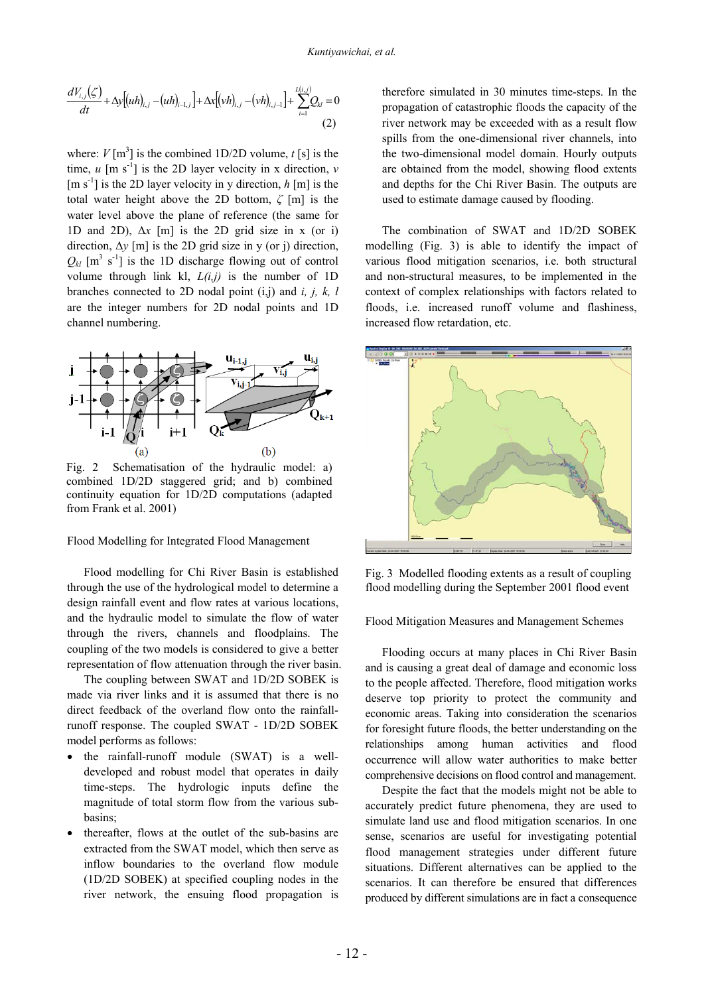$$
\frac{dV_{i,j}(\zeta)}{dt} + \Delta y \big[ (uh)_{i,j} - (uh)_{i-1,j} \big] + \Delta x \big[ (vh)_{i,j} - (vh)_{i,j-1} \big] + \sum_{i=1}^{L(i,j)} Q_{ki} = 0
$$
\n(2)

where:  $V$ [m<sup>3</sup>] is the combined 1D/2D volume,  $t$  [s] is the time,  $u \, [\text{m s}^{-1}]$  is the 2D layer velocity in x direction,  $v$  $[m s<sup>-1</sup>]$  is the 2D layer velocity in y direction, *h* [m] is the total water height above the 2D bottom, *ζ* [m] is the water level above the plane of reference (the same for 1D and 2D),  $\Delta x$  [m] is the 2D grid size in x (or i) direction, Δ*y* [m] is the 2D grid size in y (or j) direction,  $Q_{kl}$  [m<sup>3</sup> s<sup>-1</sup>] is the 1D discharge flowing out of control volume through link kl, *L(i,j)* is the number of 1D branches connected to 2D nodal point (i,j) and *i, j, k, l* are the integer numbers for 2D nodal points and 1D channel numbering.



Fig. 2 Schematisation of the hydraulic model: a) combined 1D/2D staggered grid; and b) combined continuity equation for 1D/2D computations (adapted from Frank et al. 2001)

Flood Modelling for Integrated Flood Management

Flood modelling for Chi River Basin is established through the use of the hydrological model to determine a design rainfall event and flow rates at various locations, and the hydraulic model to simulate the flow of water through the rivers, channels and floodplains. The coupling of the two models is considered to give a better representation of flow attenuation through the river basin.

The coupling between SWAT and 1D/2D SOBEK is made via river links and it is assumed that there is no direct feedback of the overland flow onto the rainfallrunoff response. The coupled SWAT - 1D/2D SOBEK model performs as follows:

- the rainfall-runoff module (SWAT) is a welldeveloped and robust model that operates in daily time-steps. The hydrologic inputs define the magnitude of total storm flow from the various subbasins;
- thereafter, flows at the outlet of the sub-basins are extracted from the SWAT model, which then serve as inflow boundaries to the overland flow module (1D/2D SOBEK) at specified coupling nodes in the river network, the ensuing flood propagation is

therefore simulated in 30 minutes time-steps. In the propagation of catastrophic floods the capacity of the river network may be exceeded with as a result flow spills from the one-dimensional river channels, into the two-dimensional model domain. Hourly outputs are obtained from the model, showing flood extents and depths for the Chi River Basin. The outputs are used to estimate damage caused by flooding.

The combination of SWAT and 1D/2D SOBEK modelling (Fig. 3) is able to identify the impact of various flood mitigation scenarios, i.e. both structural and non-structural measures, to be implemented in the context of complex relationships with factors related to floods, i.e. increased runoff volume and flashiness, increased flow retardation, etc.



Fig. 3 Modelled flooding extents as a result of coupling flood modelling during the September 2001 flood event

Flood Mitigation Measures and Management Schemes

Flooding occurs at many places in Chi River Basin and is causing a great deal of damage and economic loss to the people affected. Therefore, flood mitigation works deserve top priority to protect the community and economic areas. Taking into consideration the scenarios for foresight future floods, the better understanding on the relationships among human activities and flood occurrence will allow water authorities to make better comprehensive decisions on flood control and management.

Despite the fact that the models might not be able to accurately predict future phenomena, they are used to simulate land use and flood mitigation scenarios. In one sense, scenarios are useful for investigating potential flood management strategies under different future situations. Different alternatives can be applied to the scenarios. It can therefore be ensured that differences produced by different simulations are in fact a consequence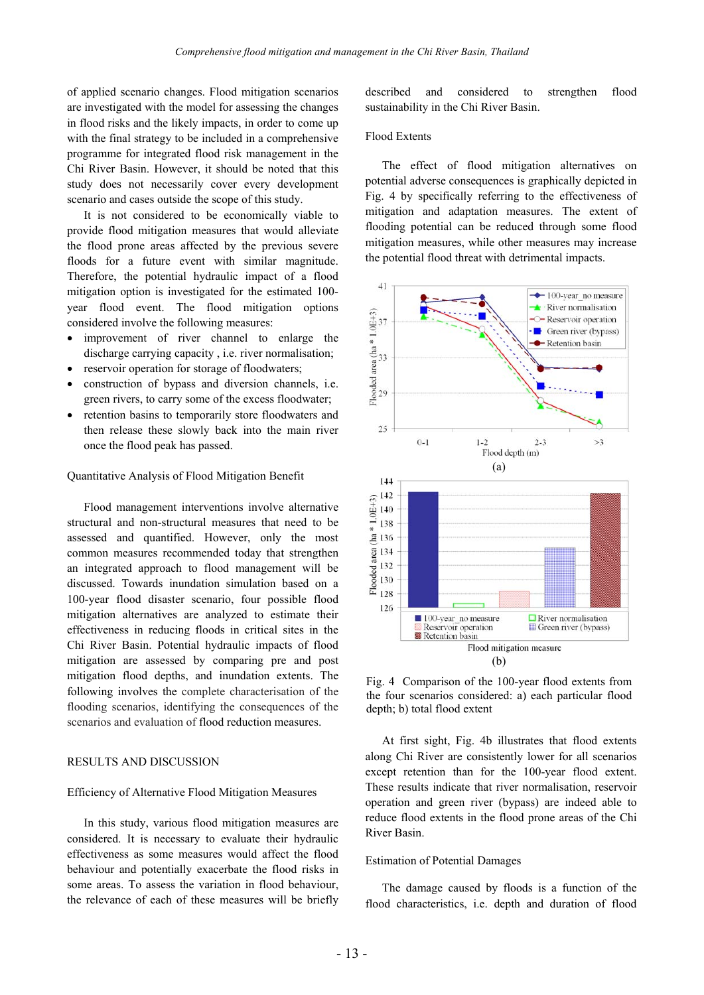of applied scenario changes. Flood mitigation scenarios are investigated with the model for assessing the changes in flood risks and the likely impacts, in order to come up with the final strategy to be included in a comprehensive programme for integrated flood risk management in the Chi River Basin. However, it should be noted that this study does not necessarily cover every development scenario and cases outside the scope of this study.

It is not considered to be economically viable to provide flood mitigation measures that would alleviate the flood prone areas affected by the previous severe floods for a future event with similar magnitude. Therefore, the potential hydraulic impact of a flood mitigation option is investigated for the estimated 100 year flood event. The flood mitigation options considered involve the following measures:

- improvement of river channel to enlarge the discharge carrying capacity , i.e. river normalisation;
- reservoir operation for storage of floodwaters;
- construction of bypass and diversion channels, i.e. green rivers, to carry some of the excess floodwater;
- retention basins to temporarily store floodwaters and then release these slowly back into the main river once the flood peak has passed.

### Quantitative Analysis of Flood Mitigation Benefit

Flood management interventions involve alternative structural and non-structural measures that need to be assessed and quantified. However, only the most common measures recommended today that strengthen an integrated approach to flood management will be discussed. Towards inundation simulation based on a 100-year flood disaster scenario, four possible flood mitigation alternatives are analyzed to estimate their effectiveness in reducing floods in critical sites in the Chi River Basin. Potential hydraulic impacts of flood mitigation are assessed by comparing pre and post mitigation flood depths, and inundation extents. The following involves the complete characterisation of the flooding scenarios, identifying the consequences of the scenarios and evaluation of flood reduction measures.

# RESULTS AND DISCUSSION

### Efficiency of Alternative Flood Mitigation Measures

In this study, various flood mitigation measures are considered. It is necessary to evaluate their hydraulic effectiveness as some measures would affect the flood behaviour and potentially exacerbate the flood risks in some areas. To assess the variation in flood behaviour, the relevance of each of these measures will be briefly described and considered to strengthen flood sustainability in the Chi River Basin.

### Flood Extents

The effect of flood mitigation alternatives on potential adverse consequences is graphically depicted in Fig. 4 by specifically referring to the effectiveness of mitigation and adaptation measures. The extent of flooding potential can be reduced through some flood mitigation measures, while other measures may increase the potential flood threat with detrimental impacts.



Fig. 4 Comparison of the 100-year flood extents from the four scenarios considered: a) each particular flood depth; b) total flood extent

At first sight, Fig. 4b illustrates that flood extents along Chi River are consistently lower for all scenarios except retention than for the 100-year flood extent. These results indicate that river normalisation, reservoir operation and green river (bypass) are indeed able to reduce flood extents in the flood prone areas of the Chi River Basin.

#### Estimation of Potential Damages

The damage caused by floods is a function of the flood characteristics, i.e. depth and duration of flood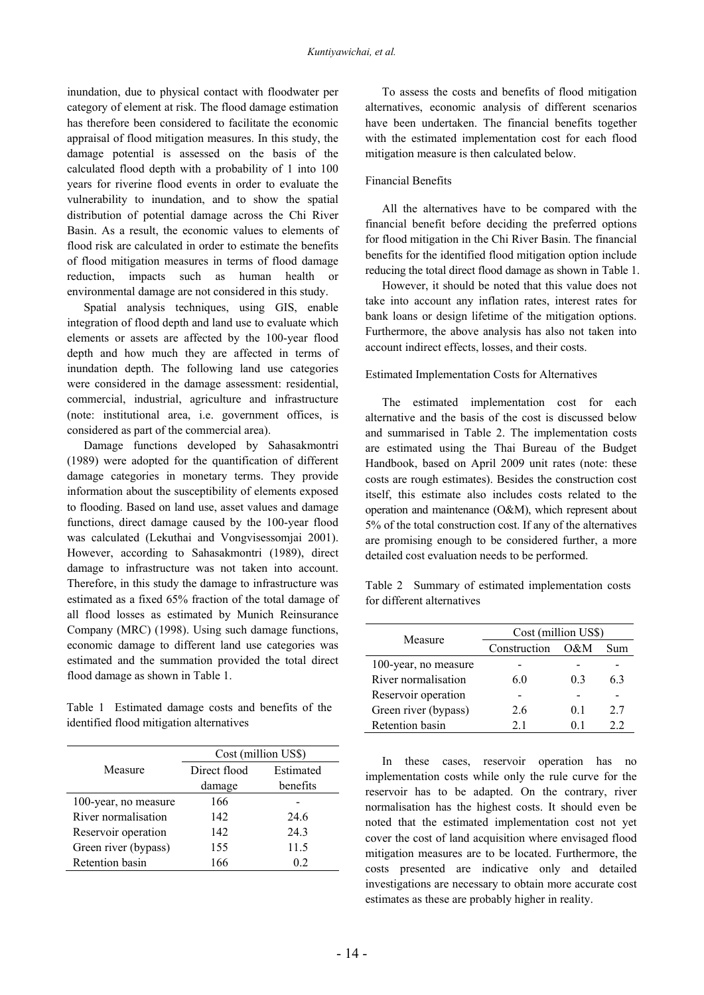inundation, due to physical contact with floodwater per category of element at risk. The flood damage estimation has therefore been considered to facilitate the economic appraisal of flood mitigation measures. In this study, the damage potential is assessed on the basis of the calculated flood depth with a probability of 1 into 100 years for riverine flood events in order to evaluate the vulnerability to inundation, and to show the spatial distribution of potential damage across the Chi River Basin. As a result, the economic values to elements of flood risk are calculated in order to estimate the benefits of flood mitigation measures in terms of flood damage reduction, impacts such as human health or environmental damage are not considered in this study.

Spatial analysis techniques, using GIS, enable integration of flood depth and land use to evaluate which elements or assets are affected by the 100-year flood depth and how much they are affected in terms of inundation depth. The following land use categories were considered in the damage assessment: residential, commercial, industrial, agriculture and infrastructure (note: institutional area, i.e. government offices, is considered as part of the commercial area).

Damage functions developed by Sahasakmontri (1989) were adopted for the quantification of different damage categories in monetary terms. They provide information about the susceptibility of elements exposed to flooding. Based on land use, asset values and damage functions, direct damage caused by the 100-year flood was calculated (Lekuthai and Vongvisessomjai 2001). However, according to Sahasakmontri (1989), direct damage to infrastructure was not taken into account. Therefore, in this study the damage to infrastructure was estimated as a fixed 65% fraction of the total damage of all flood losses as estimated by Munich Reinsurance Company (MRC) (1998). Using such damage functions, economic damage to different land use categories was estimated and the summation provided the total direct flood damage as shown in Table 1.

Table 1 Estimated damage costs and benefits of the identified flood mitigation alternatives

|                      | Cost (million US\$) |           |  |
|----------------------|---------------------|-----------|--|
| Measure              | Direct flood        | Estimated |  |
|                      | damage              | benefits  |  |
| 100-year, no measure | 166                 |           |  |
| River normalisation  | 142                 | 24.6      |  |
| Reservoir operation  | 142                 | 24.3      |  |
| Green river (bypass) | 155                 | 11.5      |  |
| Retention basin      | 166                 | 0.2       |  |

To assess the costs and benefits of flood mitigation alternatives, economic analysis of different scenarios have been undertaken. The financial benefits together with the estimated implementation cost for each flood mitigation measure is then calculated below.

# Financial Benefits

All the alternatives have to be compared with the financial benefit before deciding the preferred options for flood mitigation in the Chi River Basin. The financial benefits for the identified flood mitigation option include reducing the total direct flood damage as shown in Table 1.

However, it should be noted that this value does not take into account any inflation rates, interest rates for bank loans or design lifetime of the mitigation options. Furthermore, the above analysis has also not taken into account indirect effects, losses, and their costs.

# Estimated Implementation Costs for Alternatives

The estimated implementation cost for each alternative and the basis of the cost is discussed below and summarised in Table 2. The implementation costs are estimated using the Thai Bureau of the Budget Handbook, based on April 2009 unit rates (note: these costs are rough estimates). Besides the construction cost itself, this estimate also includes costs related to the operation and maintenance (O&M), which represent about 5% of the total construction cost. If any of the alternatives are promising enough to be considered further, a more detailed cost evaluation needs to be performed.

Table 2 Summary of estimated implementation costs for different alternatives

| Measure              | Cost (million US\$) |     |     |  |
|----------------------|---------------------|-----|-----|--|
|                      | Construction        | O&M | Sum |  |
| 100-year, no measure |                     |     |     |  |
| River normalisation  | 60                  | 03  | 63  |  |
| Reservoir operation  |                     |     |     |  |
| Green river (bypass) | 2.6                 | 01  | 27  |  |
| Retention basin      | 21                  |     | フフ  |  |

In these cases, reservoir operation has no implementation costs while only the rule curve for the reservoir has to be adapted. On the contrary, river normalisation has the highest costs. It should even be noted that the estimated implementation cost not yet cover the cost of land acquisition where envisaged flood mitigation measures are to be located. Furthermore, the costs presented are indicative only and detailed investigations are necessary to obtain more accurate cost estimates as these are probably higher in reality.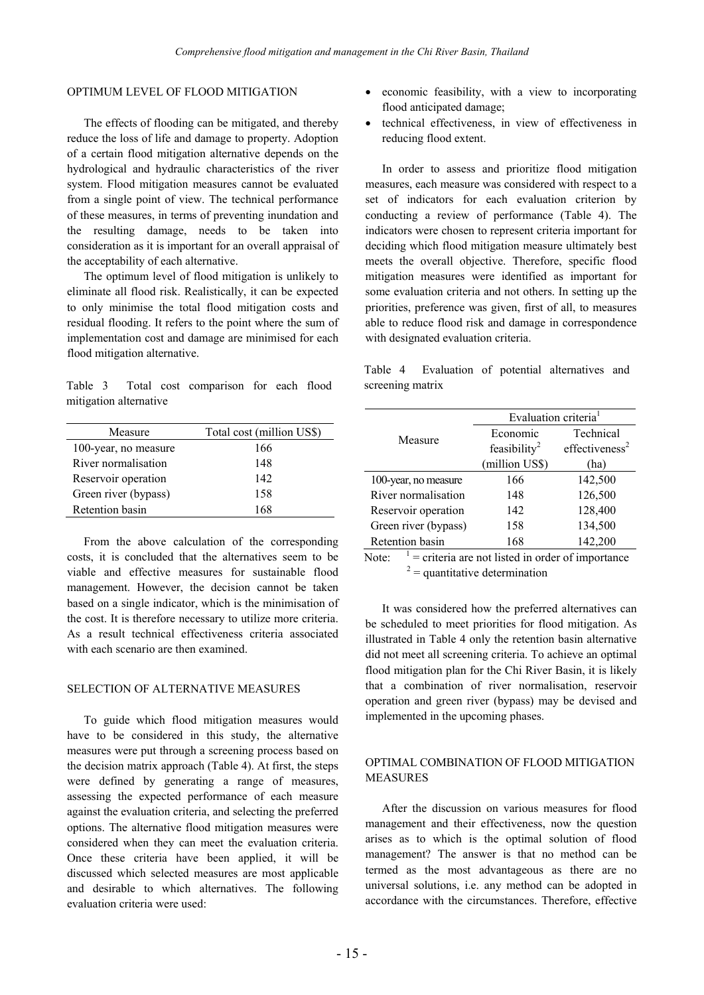# OPTIMUM LEVEL OF FLOOD MITIGATION

The effects of flooding can be mitigated, and thereby reduce the loss of life and damage to property. Adoption of a certain flood mitigation alternative depends on the hydrological and hydraulic characteristics of the river system. Flood mitigation measures cannot be evaluated from a single point of view. The technical performance of these measures, in terms of preventing inundation and the resulting damage, needs to be taken into consideration as it is important for an overall appraisal of the acceptability of each alternative.

The optimum level of flood mitigation is unlikely to eliminate all flood risk. Realistically, it can be expected to only minimise the total flood mitigation costs and residual flooding. It refers to the point where the sum of implementation cost and damage are minimised for each flood mitigation alternative.

Table 3 Total cost comparison for each flood mitigation alternative

| Measure              | Total cost (million US\$) |
|----------------------|---------------------------|
| 100-year, no measure | 166                       |
| River normalisation  | 148                       |
| Reservoir operation  | 142                       |
| Green river (bypass) | 158                       |
| Retention basin      | 168                       |

From the above calculation of the corresponding costs, it is concluded that the alternatives seem to be viable and effective measures for sustainable flood management. However, the decision cannot be taken based on a single indicator, which is the minimisation of the cost. It is therefore necessary to utilize more criteria. As a result technical effectiveness criteria associated with each scenario are then examined.

## SELECTION OF ALTERNATIVE MEASURES

To guide which flood mitigation measures would have to be considered in this study, the alternative measures were put through a screening process based on the decision matrix approach (Table 4). At first, the steps were defined by generating a range of measures, assessing the expected performance of each measure against the evaluation criteria, and selecting the preferred options. The alternative flood mitigation measures were considered when they can meet the evaluation criteria. Once these criteria have been applied, it will be discussed which selected measures are most applicable and desirable to which alternatives. The following evaluation criteria were used:

- economic feasibility, with a view to incorporating flood anticipated damage;
- technical effectiveness, in view of effectiveness in reducing flood extent.

In order to assess and prioritize flood mitigation measures, each measure was considered with respect to a set of indicators for each evaluation criterion by conducting a review of performance (Table 4). The indicators were chosen to represent criteria important for deciding which flood mitigation measure ultimately best meets the overall objective. Therefore, specific flood mitigation measures were identified as important for some evaluation criteria and not others. In setting up the priorities, preference was given, first of all, to measures able to reduce flood risk and damage in correspondence with designated evaluation criteria.

Table 4 Evaluation of potential alternatives and screening matrix

|                      | Evaluation criteria <sup>1</sup> |                            |  |
|----------------------|----------------------------------|----------------------------|--|
| Measure              | Economic                         | Technical                  |  |
|                      | feasibility <sup>2</sup>         | effectiveness <sup>2</sup> |  |
|                      | (million US\$)                   | (ha)                       |  |
| 100-year, no measure | 166                              | 142,500                    |  |
| River normalisation  | 148                              | 126,500                    |  |
| Reservoir operation  | 142                              | 128,400                    |  |
| Green river (bypass) | 158                              | 134,500                    |  |
| Retention basin      | 168                              | 142,200                    |  |

Note:  $1$  = criteria are not listed in order of importance <sup>2</sup>  $2 =$  quantitative determination

It was considered how the preferred alternatives can be scheduled to meet priorities for flood mitigation. As illustrated in Table 4 only the retention basin alternative did not meet all screening criteria. To achieve an optimal flood mitigation plan for the Chi River Basin, it is likely that a combination of river normalisation, reservoir operation and green river (bypass) may be devised and implemented in the upcoming phases.

# OPTIMAL COMBINATION OF FLOOD MITIGATION **MEASURES**

After the discussion on various measures for flood management and their effectiveness, now the question arises as to which is the optimal solution of flood management? The answer is that no method can be termed as the most advantageous as there are no universal solutions, i.e. any method can be adopted in accordance with the circumstances. Therefore, effective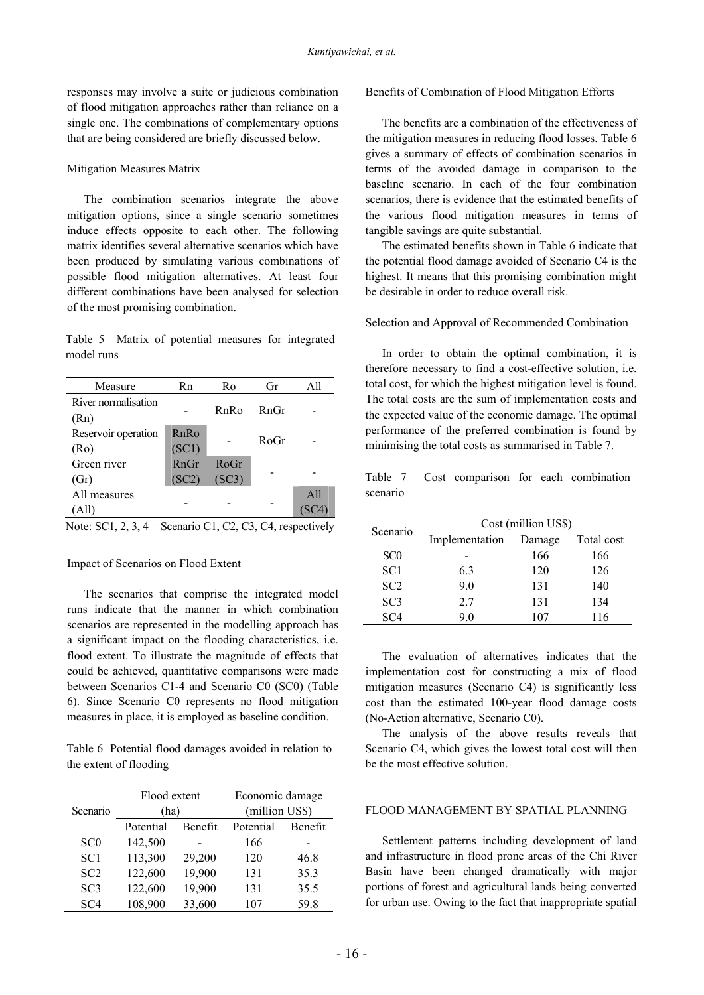responses may involve a suite or judicious combination of flood mitigation approaches rather than reliance on a single one. The combinations of complementary options that are being considered are briefly discussed below.

### Mitigation Measures Matrix

The combination scenarios integrate the above mitigation options, since a single scenario sometimes induce effects opposite to each other. The following matrix identifies several alternative scenarios which have been produced by simulating various combinations of possible flood mitigation alternatives. At least four different combinations have been analysed for selection of the most promising combination.

Table 5 Matrix of potential measures for integrated model runs

| Measure                     | Rn            | Ro            | Gr      | All |
|-----------------------------|---------------|---------------|---------|-----|
| River normalisation<br>(Rn) |               | RnRo          | $Rn$ Gr |     |
| Reservoir operation<br>(Ro) | RnRo<br>(SC1) |               | RoGr    |     |
| Green river<br>(Gr)         | RnGr<br>(SC2) | RoGr<br>(SC3) |         |     |
| All measures<br>All)        |               |               |         | A11 |

Note: SC1, 2, 3, 4 = Scenario C1, C2, C3, C4, respectively

## Impact of Scenarios on Flood Extent

The scenarios that comprise the integrated model runs indicate that the manner in which combination scenarios are represented in the modelling approach has a significant impact on the flooding characteristics, i.e. flood extent. To illustrate the magnitude of effects that could be achieved, quantitative comparisons were made between Scenarios C1-4 and Scenario C0 (SC0) (Table 6). Since Scenario C0 represents no flood mitigation measures in place, it is employed as baseline condition.

Table 6 Potential flood damages avoided in relation to the extent of flooding

| Scenario        | Flood extent<br>(ha) |         | Economic damage<br>(million US\$) |         |
|-----------------|----------------------|---------|-----------------------------------|---------|
|                 | Potential            | Benefit | Potential                         | Benefit |
| SC <sub>0</sub> | 142,500              |         | 166                               |         |
| SC <sub>1</sub> | 113,300              | 29,200  | 120                               | 46.8    |
| SC2             | 122,600              | 19,900  | 131                               | 35.3    |
| SC <sub>3</sub> | 122,600              | 19,900  | 131                               | 35.5    |
| SC <sub>4</sub> | 108,900              | 33,600  | 107                               | 59.8    |

### Benefits of Combination of Flood Mitigation Efforts

The benefits are a combination of the effectiveness of the mitigation measures in reducing flood losses. Table 6 gives a summary of effects of combination scenarios in terms of the avoided damage in comparison to the baseline scenario. In each of the four combination scenarios, there is evidence that the estimated benefits of the various flood mitigation measures in terms of tangible savings are quite substantial.

The estimated benefits shown in Table 6 indicate that the potential flood damage avoided of Scenario C4 is the highest. It means that this promising combination might be desirable in order to reduce overall risk.

#### Selection and Approval of Recommended Combination

In order to obtain the optimal combination, it is therefore necessary to find a cost-effective solution, i.e. total cost, for which the highest mitigation level is found. The total costs are the sum of implementation costs and the expected value of the economic damage. The optimal performance of the preferred combination is found by minimising the total costs as summarised in Table 7.

Table 7 Cost comparison for each combination scenario

|                 | Cost (million US\$) |        |            |  |
|-----------------|---------------------|--------|------------|--|
| Scenario        | Implementation      | Damage | Total cost |  |
| SC <sub>0</sub> |                     | 166    | 166        |  |
| SC <sub>1</sub> | 6.3                 | 120    | 126        |  |
| SC <sub>2</sub> | 9.0                 | 131    | 140        |  |
| SC <sub>3</sub> | 27                  | 131    | 134        |  |
| SC <sub>4</sub> | 9.0                 | 107    | 116        |  |

The evaluation of alternatives indicates that the implementation cost for constructing a mix of flood mitigation measures (Scenario C4) is significantly less cost than the estimated 100-year flood damage costs (No-Action alternative, Scenario C0).

The analysis of the above results reveals that Scenario C4, which gives the lowest total cost will then be the most effective solution.

## FLOOD MANAGEMENT BY SPATIAL PLANNING

Settlement patterns including development of land and infrastructure in flood prone areas of the Chi River Basin have been changed dramatically with major portions of forest and agricultural lands being converted for urban use. Owing to the fact that inappropriate spatial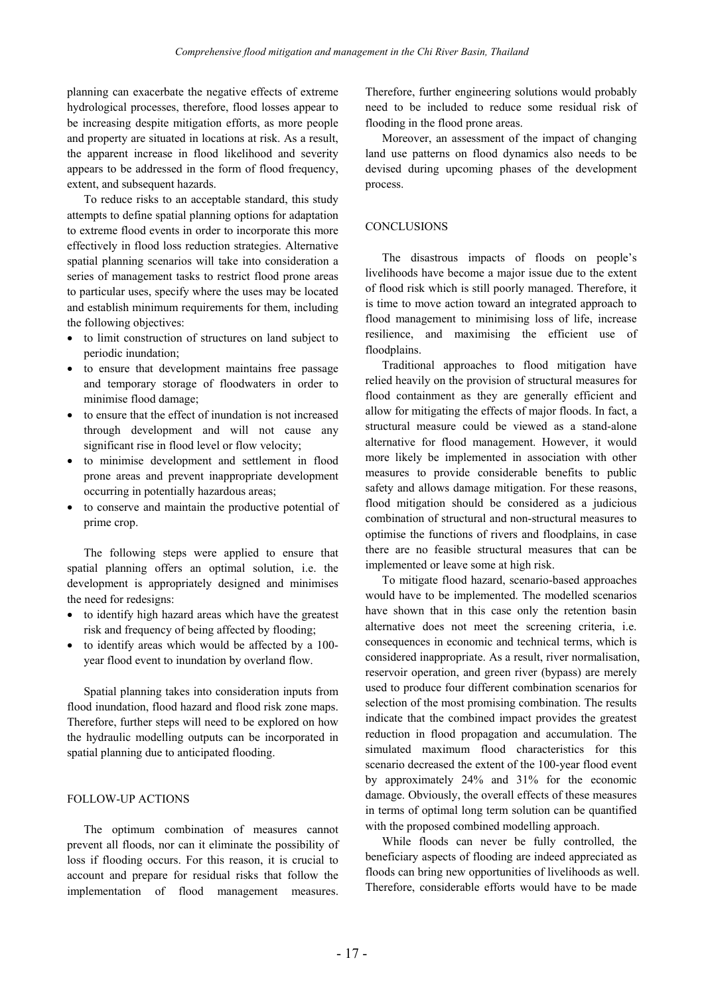planning can exacerbate the negative effects of extreme hydrological processes, therefore, flood losses appear to be increasing despite mitigation efforts, as more people and property are situated in locations at risk. As a result, the apparent increase in flood likelihood and severity appears to be addressed in the form of flood frequency, extent, and subsequent hazards.

To reduce risks to an acceptable standard, this study attempts to define spatial planning options for adaptation to extreme flood events in order to incorporate this more effectively in flood loss reduction strategies. Alternative spatial planning scenarios will take into consideration a series of management tasks to restrict flood prone areas to particular uses, specify where the uses may be located and establish minimum requirements for them, including the following objectives:

- to limit construction of structures on land subject to periodic inundation;
- to ensure that development maintains free passage and temporary storage of floodwaters in order to minimise flood damage;
- to ensure that the effect of inundation is not increased through development and will not cause any significant rise in flood level or flow velocity;
- to minimise development and settlement in flood prone areas and prevent inappropriate development occurring in potentially hazardous areas;
- to conserve and maintain the productive potential of prime crop.

The following steps were applied to ensure that spatial planning offers an optimal solution, i.e. the development is appropriately designed and minimises the need for redesigns:

- to identify high hazard areas which have the greatest risk and frequency of being affected by flooding;
- to identify areas which would be affected by a 100 year flood event to inundation by overland flow.

Spatial planning takes into consideration inputs from flood inundation, flood hazard and flood risk zone maps. Therefore, further steps will need to be explored on how the hydraulic modelling outputs can be incorporated in spatial planning due to anticipated flooding.

# FOLLOW-UP ACTIONS

The optimum combination of measures cannot prevent all floods, nor can it eliminate the possibility of loss if flooding occurs. For this reason, it is crucial to account and prepare for residual risks that follow the implementation of flood management measures.

Therefore, further engineering solutions would probably need to be included to reduce some residual risk of flooding in the flood prone areas.

Moreover, an assessment of the impact of changing land use patterns on flood dynamics also needs to be devised during upcoming phases of the development process.

# **CONCLUSIONS**

The disastrous impacts of floods on people's livelihoods have become a major issue due to the extent of flood risk which is still poorly managed. Therefore, it is time to move action toward an integrated approach to flood management to minimising loss of life, increase resilience, and maximising the efficient use of floodplains.

Traditional approaches to flood mitigation have relied heavily on the provision of structural measures for flood containment as they are generally efficient and allow for mitigating the effects of major floods. In fact, a structural measure could be viewed as a stand-alone alternative for flood management. However, it would more likely be implemented in association with other measures to provide considerable benefits to public safety and allows damage mitigation. For these reasons, flood mitigation should be considered as a judicious combination of structural and non-structural measures to optimise the functions of rivers and floodplains, in case there are no feasible structural measures that can be implemented or leave some at high risk.

To mitigate flood hazard, scenario-based approaches would have to be implemented. The modelled scenarios have shown that in this case only the retention basin alternative does not meet the screening criteria, i.e. consequences in economic and technical terms, which is considered inappropriate. As a result, river normalisation, reservoir operation, and green river (bypass) are merely used to produce four different combination scenarios for selection of the most promising combination. The results indicate that the combined impact provides the greatest reduction in flood propagation and accumulation. The simulated maximum flood characteristics for this scenario decreased the extent of the 100-year flood event by approximately 24% and 31% for the economic damage. Obviously, the overall effects of these measures in terms of optimal long term solution can be quantified with the proposed combined modelling approach.

While floods can never be fully controlled, the beneficiary aspects of flooding are indeed appreciated as floods can bring new opportunities of livelihoods as well. Therefore, considerable efforts would have to be made